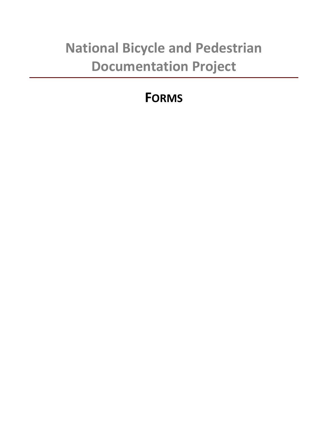# **National Bicycle and Pedestrian Documentation Project**

## **FORMS**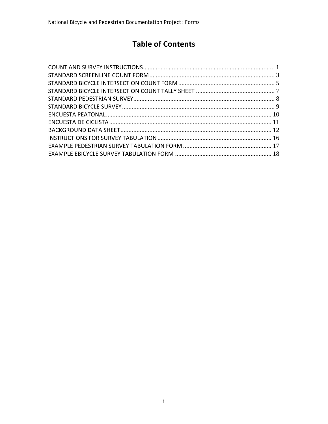## **Table of Contents**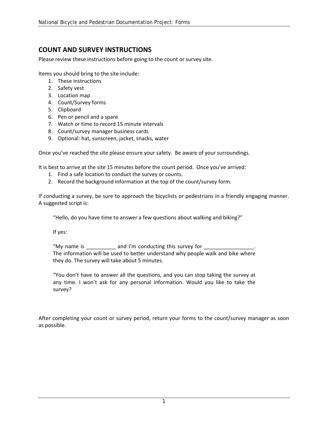## **COUNT AND SURVEY INSTRUCTIONS**

Please review these instructions before going to the count or survey site.

Items you should bring to the site include:

- 1. These instructions
- 2. Safety vest
- 3. Location map
- 4. Count/Survey forms
- 5. Clipboard
- 6. Pen or pencil and a spare
- 7. Watch or time to record 15 minute intervals
- 8. Count/survey manager business cards
- 9. Optional: hat, sunscreen, jacket, snacks, water

Once you've reached the site please ensure your safety. Be aware of your surroundings.

It is best to arrive at the site 15 minutes before the count period. Once you've arrived:

- 1. Find a safe location to conduct the survey or counts.
- 2. Record the background information at the top of the count/survey form.

If conducting a survey, be sure to approach the bicyclists or pedestrians in a friendly engaging manner. A suggested script is:

"Hello, do you have time to answer a few questions about walking and biking?"

If yes:

"My name is  $\frac{1}{\sqrt{2}}$  and I'm conducting this survey for  $\frac{1}{\sqrt{2}}$ The information will be used to better understand why people walk and bike where they do. The survey will take about 5 minutes.

"You don't have to answer all the questions, and you can stop taking the survey at any time. I won't ask for any personal information. Would you like to take the survey?

After completing your count or survey period, return your forms to the count/survey manager as soon as possible.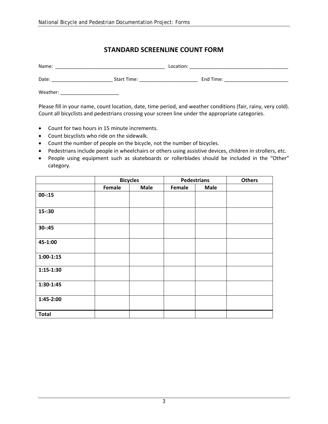## **STANDARD SCREENLINE COUNT FORM**

| Name:    |             | Location: |           |  |  |  |  |  |
|----------|-------------|-----------|-----------|--|--|--|--|--|
| Date:    | Start Time: |           | End Time: |  |  |  |  |  |
| Weather: |             |           |           |  |  |  |  |  |

Please fill in your name, count location, date, time period, and weather conditions (fair, rainy, very cold). Count all bicyclists and pedestrians crossing your screen line under the appropriate categories.

- Count for two hours in 15 minute increments.
- Count bicyclists who ride on the sidewalk.
- Count the number of people on the bicycle, not the number of bicycles.
- Pedestrians include people in wheelchairs or others using assistive devices, children in strollers, etc.
- People using equipment such as skateboards or rollerblades should be included in the "Other" category.

|              |        | <b>Bicycles</b> |        | <b>Pedestrians</b> | <b>Others</b> |
|--------------|--------|-----------------|--------|--------------------|---------------|
|              | Female | <b>Male</b>     | Female | <b>Male</b>        |               |
| $00 - 15$    |        |                 |        |                    |               |
| $15 - 30$    |        |                 |        |                    |               |
| $30 - 145$   |        |                 |        |                    |               |
| 45-1:00      |        |                 |        |                    |               |
| $1:00-1:15$  |        |                 |        |                    |               |
| $1:15-1:30$  |        |                 |        |                    |               |
| $1:30-1:45$  |        |                 |        |                    |               |
| 1:45-2:00    |        |                 |        |                    |               |
| <b>Total</b> |        |                 |        |                    |               |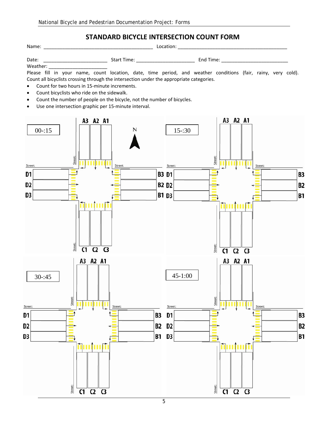## **STANDARD BICYCLE INTERSECTION COUNT FORM**

| Please fill in your name, count location, date, time period, and weather conditions (fair, rainy, very cold).<br>Count all bicyclists crossing through the intersection under the appropriate categories.<br>Count for two hours in 15-minute increments.<br>$\bullet$<br>Count bicyclists who ride on the sidewalk.<br>$\bullet$<br>$\bullet$<br>Use one intersection graphic per 15-minute interval.<br>$\bullet$ | Count the number of people on the bicycle, not the number of bicycles. |                                                                         |                      |
|---------------------------------------------------------------------------------------------------------------------------------------------------------------------------------------------------------------------------------------------------------------------------------------------------------------------------------------------------------------------------------------------------------------------|------------------------------------------------------------------------|-------------------------------------------------------------------------|----------------------|
| A3 A2 A1<br>$00 - 15$<br>Street:                                                                                                                                                                                                                                                                                                                                                                                    | N                                                                      | A3 A2 A1<br>$15 - 30$<br>Street:                                        |                      |
| Street:<br>D1                                                                                                                                                                                                                                                                                                                                                                                                       | Street:<br>Street:<br><b>B3 D1</b>                                     |                                                                         | Street:<br><b>B3</b> |
| D2                                                                                                                                                                                                                                                                                                                                                                                                                  | <b>B2 D2</b>                                                           |                                                                         | <b>B2</b>            |
| D3                                                                                                                                                                                                                                                                                                                                                                                                                  | <b>B1 D3</b>                                                           |                                                                         | <b>B1</b>            |
| monon<br><b>Street:</b><br>C1<br>$C2$ $C3$                                                                                                                                                                                                                                                                                                                                                                          |                                                                        | шш<br><b>Street:</b><br>$\overline{C1}$ $\overline{C2}$ $\overline{C3}$ |                      |
| A3 A2 A1<br>$30 - 145$<br>Street:<br>Street:                                                                                                                                                                                                                                                                                                                                                                        | Street:<br>Street:                                                     | A3 A2 A1<br>$45-1:00$<br>Street:                                        | Street:              |
| D1                                                                                                                                                                                                                                                                                                                                                                                                                  | <b>B3</b><br>D1                                                        |                                                                         | B3                   |
| D <sub>2</sub>                                                                                                                                                                                                                                                                                                                                                                                                      | <b>B2 D2</b>                                                           |                                                                         | <b>B2</b>            |
| D3                                                                                                                                                                                                                                                                                                                                                                                                                  | B1<br>D3                                                               |                                                                         | <b>B1</b>            |
| THITI<br>Street:<br>$\overline{C1}$ $\overline{C2}$ $\overline{C3}$                                                                                                                                                                                                                                                                                                                                                 |                                                                        | Street:<br>$\overline{C1}$ $\overline{C2}$ $\overline{C3}$              |                      |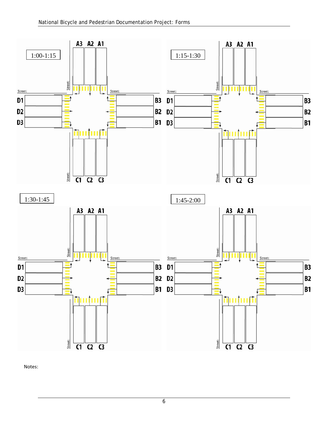

Notes: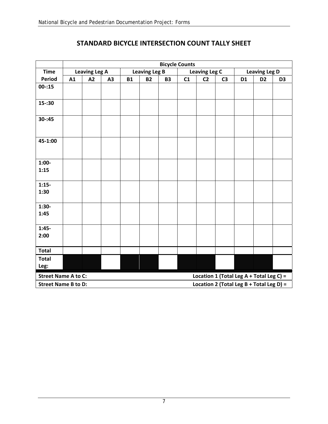|                            |    | <b>Bicycle Counts</b> |    |           |                        |  |    |                      |                |                |                                          |                |  |  |  |
|----------------------------|----|-----------------------|----|-----------|------------------------|--|----|----------------------|----------------|----------------|------------------------------------------|----------------|--|--|--|
| <b>Time</b>                |    | <b>Leaving Leg A</b>  |    |           | <b>Leaving Leg B</b>   |  |    | <b>Leaving Leg C</b> |                |                | <b>Leaving Leg D</b>                     |                |  |  |  |
| <b>Period</b>              | A1 | A2                    | A3 | <b>B1</b> | <b>B3</b><br><b>B2</b> |  | C1 | C <sub>2</sub>       | C <sub>3</sub> | D <sub>1</sub> | D <sub>2</sub>                           | D <sub>3</sub> |  |  |  |
| $00 - 15$                  |    |                       |    |           |                        |  |    |                      |                |                |                                          |                |  |  |  |
| $15 - 30$                  |    |                       |    |           |                        |  |    |                      |                |                |                                          |                |  |  |  |
| $30 - 145$                 |    |                       |    |           |                        |  |    |                      |                |                |                                          |                |  |  |  |
| 45-1:00                    |    |                       |    |           |                        |  |    |                      |                |                |                                          |                |  |  |  |
| $1:00-$<br>1:15            |    |                       |    |           |                        |  |    |                      |                |                |                                          |                |  |  |  |
| $1:15-$<br>1:30            |    |                       |    |           |                        |  |    |                      |                |                |                                          |                |  |  |  |
| $1:30-$<br>1:45            |    |                       |    |           |                        |  |    |                      |                |                |                                          |                |  |  |  |
| $1:45-$<br>2:00            |    |                       |    |           |                        |  |    |                      |                |                |                                          |                |  |  |  |
| <b>Total</b>               |    |                       |    |           |                        |  |    |                      |                |                |                                          |                |  |  |  |
| <b>Total</b>               |    |                       |    |           |                        |  |    |                      |                |                |                                          |                |  |  |  |
| Leg:                       |    |                       |    |           |                        |  |    |                      |                |                |                                          |                |  |  |  |
| <b>Street Name A to C:</b> |    |                       |    |           |                        |  |    |                      |                |                | Location 1 (Total Leg A + Total Leg C) = |                |  |  |  |
| <b>Street Name B to D:</b> |    |                       |    |           |                        |  |    |                      |                |                | Location 2 (Total Leg B + Total Leg D) = |                |  |  |  |

## **STANDARD BICYCLE INTERSECTION COUNT TALLY SHEET**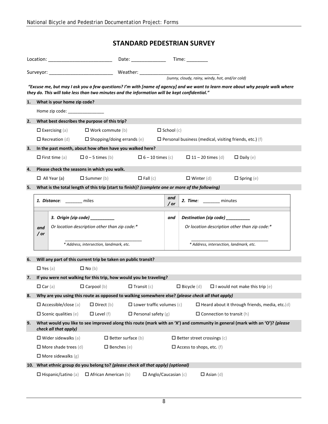## **STANDARD PEDESTRIAN SURVEY**

|    |                                                                       |                                |                                                                                               | Surveyor: ___________________________________Weather: ___________________________<br>(sunny, cloudy, rainy, windy, hot, and/or cold)<br>"Excuse me, but may I ask you a few questions? I'm with [name of agency] and we want to learn more about why people walk where |                                  |     |                                                                                                  |                                                                                                                              |  |  |  |  |  |  |
|----|-----------------------------------------------------------------------|--------------------------------|-----------------------------------------------------------------------------------------------|------------------------------------------------------------------------------------------------------------------------------------------------------------------------------------------------------------------------------------------------------------------------|----------------------------------|-----|--------------------------------------------------------------------------------------------------|------------------------------------------------------------------------------------------------------------------------------|--|--|--|--|--|--|
|    |                                                                       |                                | they do. This will take less than two minutes and the information will be kept confidential." |                                                                                                                                                                                                                                                                        |                                  |     |                                                                                                  |                                                                                                                              |  |  |  |  |  |  |
| 1. |                                                                       | What is your home zip code?    |                                                                                               |                                                                                                                                                                                                                                                                        |                                  |     |                                                                                                  |                                                                                                                              |  |  |  |  |  |  |
|    |                                                                       |                                |                                                                                               |                                                                                                                                                                                                                                                                        |                                  |     |                                                                                                  |                                                                                                                              |  |  |  |  |  |  |
| 2. |                                                                       |                                | What best describes the purpose of this trip?                                                 |                                                                                                                                                                                                                                                                        |                                  |     |                                                                                                  |                                                                                                                              |  |  |  |  |  |  |
|    |                                                                       | $\Box$ Exercising (a)          | $\Box$ Work commute (b)                                                                       |                                                                                                                                                                                                                                                                        | $\Box$ School (c)                |     |                                                                                                  |                                                                                                                              |  |  |  |  |  |  |
|    |                                                                       | $\Box$ Recreation (d)          | $\square$ Shopping/doing errands (e)                                                          |                                                                                                                                                                                                                                                                        |                                  |     | $\Box$ Personal business (medical, visiting friends, etc.) (f)                                   |                                                                                                                              |  |  |  |  |  |  |
| 3. |                                                                       |                                | In the past month, about how often have you walked here?                                      |                                                                                                                                                                                                                                                                        |                                  |     |                                                                                                  |                                                                                                                              |  |  |  |  |  |  |
|    |                                                                       | $\Box$ First time (a)          | $\Box$ 0 – 5 times (b) $\Box$ 6 – 10 times (c)                                                |                                                                                                                                                                                                                                                                        |                                  |     | $\Box$ 11 – 20 times (d)                                                                         | $\Box$ Daily (e)                                                                                                             |  |  |  |  |  |  |
| 4. |                                                                       |                                | Please check the seasons in which you walk.                                                   |                                                                                                                                                                                                                                                                        |                                  |     |                                                                                                  |                                                                                                                              |  |  |  |  |  |  |
|    |                                                                       | $\Box$ All Year (a)            | $\square$ Summer (b)                                                                          | $\Box$ Fall (c)                                                                                                                                                                                                                                                        |                                  |     | $\Box$ Winter (d)                                                                                | $\square$ Spring (e)                                                                                                         |  |  |  |  |  |  |
| 5. |                                                                       |                                |                                                                                               |                                                                                                                                                                                                                                                                        |                                  |     | What is the total length of this trip (start to finish)? (complete one or more of the following) |                                                                                                                              |  |  |  |  |  |  |
|    | and<br>1. Distance: ______ miles<br>2. Time: ________ minutes<br>/ or |                                |                                                                                               |                                                                                                                                                                                                                                                                        |                                  |     |                                                                                                  |                                                                                                                              |  |  |  |  |  |  |
|    |                                                                       |                                | 3. Origin (zip code) ___________                                                              |                                                                                                                                                                                                                                                                        |                                  | and | Destination (zip code) ________                                                                  |                                                                                                                              |  |  |  |  |  |  |
|    | and                                                                   |                                | Or location description other than zip code:*                                                 |                                                                                                                                                                                                                                                                        |                                  |     | Or location description other than zip code:*                                                    |                                                                                                                              |  |  |  |  |  |  |
|    | / or                                                                  |                                |                                                                                               |                                                                                                                                                                                                                                                                        |                                  |     |                                                                                                  |                                                                                                                              |  |  |  |  |  |  |
|    |                                                                       |                                | * Address, intersection, landmark, etc.                                                       |                                                                                                                                                                                                                                                                        |                                  |     | * Address, intersection, landmark, etc.                                                          |                                                                                                                              |  |  |  |  |  |  |
| 6. |                                                                       |                                | Will any part of this current trip be taken on public transit?                                |                                                                                                                                                                                                                                                                        |                                  |     |                                                                                                  |                                                                                                                              |  |  |  |  |  |  |
|    | $\square$ Yes (a)                                                     |                                | $\Box$ No (b)                                                                                 |                                                                                                                                                                                                                                                                        |                                  |     |                                                                                                  |                                                                                                                              |  |  |  |  |  |  |
| 7. |                                                                       |                                | If you were not walking for this trip, how would you be traveling?                            |                                                                                                                                                                                                                                                                        |                                  |     |                                                                                                  |                                                                                                                              |  |  |  |  |  |  |
|    | $\Box$ Car (a)                                                        |                                | $\Box$ Carpool (b)                                                                            | $\Box$ Transit (c)                                                                                                                                                                                                                                                     |                                  |     | $\Box$ Bicycle (d)                                                                               | $\Box$ I would not make this trip (e)                                                                                        |  |  |  |  |  |  |
| 8. |                                                                       |                                |                                                                                               |                                                                                                                                                                                                                                                                        |                                  |     | Why are you using this route as opposed to walking somewhere else? (please check all that apply) |                                                                                                                              |  |  |  |  |  |  |
|    |                                                                       | $\Box$ Accessible/close (a)    | $\square$ Direct (b)                                                                          |                                                                                                                                                                                                                                                                        | $\Box$ Lower traffic volumes (c) |     |                                                                                                  | $\square$ Heard about it through friends, media, etc.(d)                                                                     |  |  |  |  |  |  |
|    |                                                                       | $\square$ Scenic qualities (e) | $\Box$ Level (f)                                                                              |                                                                                                                                                                                                                                                                        | $\Box$ Personal safety (g)       |     | $\square$ Connection to transit (h)                                                              |                                                                                                                              |  |  |  |  |  |  |
| 9. |                                                                       | check all that apply)          |                                                                                               |                                                                                                                                                                                                                                                                        |                                  |     |                                                                                                  | What would you like to see improved along this route (mark with an 'X') and community in general (mark with an 'O')? (please |  |  |  |  |  |  |
|    |                                                                       | $\Box$ Wider sidewalks (a)     |                                                                                               | $\Box$ Better surface (b)                                                                                                                                                                                                                                              |                                  |     | $\Box$ Better street crossings (c)                                                               |                                                                                                                              |  |  |  |  |  |  |
|    |                                                                       | $\Box$ More shade trees (d)    |                                                                                               | $\square$ Benches (e)                                                                                                                                                                                                                                                  |                                  |     | $\Box$ Access to shops, etc. (f)                                                                 |                                                                                                                              |  |  |  |  |  |  |
|    |                                                                       | $\square$ More sidewalks (g)   |                                                                                               |                                                                                                                                                                                                                                                                        |                                  |     |                                                                                                  |                                                                                                                              |  |  |  |  |  |  |
|    |                                                                       |                                | 10. What ethnic group do you belong to? (please check all that apply) (optional)              |                                                                                                                                                                                                                                                                        |                                  |     |                                                                                                  |                                                                                                                              |  |  |  |  |  |  |
|    |                                                                       | $\Box$ Hispanic/Latino (a)     | $\Box$ African American (b)                                                                   |                                                                                                                                                                                                                                                                        | $\Box$ Anglo/Caucasian (c)       |     | $\Box$ Asian (d)                                                                                 |                                                                                                                              |  |  |  |  |  |  |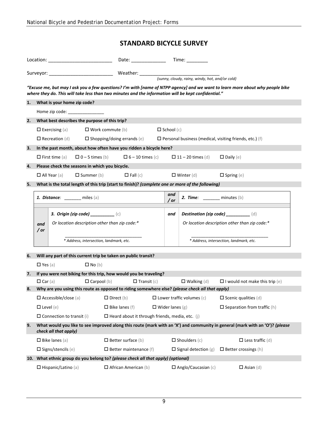## **STANDARD BICYCLE SURVEY**

|    |                                                                                                  |                                  |                                                                                         |                          |                                                        |  |                        | where they do. This will take less than two minutes and the information will be kept confidential." | "Excuse me, but may I ask you a few questions? I'm with [name of NTPP agency] and we want to learn more about why people bike |  |  |  |  |  |
|----|--------------------------------------------------------------------------------------------------|----------------------------------|-----------------------------------------------------------------------------------------|--------------------------|--------------------------------------------------------|--|------------------------|-----------------------------------------------------------------------------------------------------|-------------------------------------------------------------------------------------------------------------------------------|--|--|--|--|--|
| 1. |                                                                                                  |                                  | What is your home zip code?                                                             |                          |                                                        |  |                        |                                                                                                     |                                                                                                                               |  |  |  |  |  |
|    | Home zip code:                                                                                   |                                  |                                                                                         |                          |                                                        |  |                        |                                                                                                     |                                                                                                                               |  |  |  |  |  |
| 2. |                                                                                                  |                                  | What best describes the purpose of this trip?                                           |                          |                                                        |  |                        |                                                                                                     |                                                                                                                               |  |  |  |  |  |
|    |                                                                                                  | $\Box$ Exercising (a)            |                                                                                         | $\Box$ Work commute (b)  |                                                        |  | $\Box$ School (c)      |                                                                                                     |                                                                                                                               |  |  |  |  |  |
|    |                                                                                                  | $\Box$ Recreation (d)            |                                                                                         |                          | $\square$ Shopping/doing errands (e)                   |  |                        |                                                                                                     | $\Box$ Personal business (medical, visiting friends, etc.) (f)                                                                |  |  |  |  |  |
| 3. | In the past month, about how often have you ridden a bicycle here?                               |                                  |                                                                                         |                          |                                                        |  |                        |                                                                                                     |                                                                                                                               |  |  |  |  |  |
|    |                                                                                                  | $\Box$ First time (a)            | $\Box$ 0 – 5 times (b)                                                                  |                          | $\Box$ 6 – 10 times (c)                                |  |                        | $\Box$ 11 – 20 times (d)                                                                            | $\Box$ Daily (e)                                                                                                              |  |  |  |  |  |
| 4. |                                                                                                  |                                  | Please check the seasons in which you bicycle.                                          |                          |                                                        |  |                        |                                                                                                     |                                                                                                                               |  |  |  |  |  |
|    |                                                                                                  | $\Box$ All Year (a)              | $\square$ Summer (b)                                                                    |                          | $\Box$ Fall (c)                                        |  |                        | $\Box$ Winter (d)                                                                                   | $\Box$ Spring (e)                                                                                                             |  |  |  |  |  |
| 5. | What is the total length of this trip (start to finish)? (complete one or more of the following) |                                  |                                                                                         |                          |                                                        |  |                        |                                                                                                     |                                                                                                                               |  |  |  |  |  |
|    |                                                                                                  |                                  | 1. Distance: $\qquad \qquad$ miles (a)                                                  |                          |                                                        |  | and<br>/ or            | 2. Time: $\frac{1}{\sqrt{2}}$ minutes (b)                                                           |                                                                                                                               |  |  |  |  |  |
|    |                                                                                                  |                                  | 3. Origin (zip code) __________ (c)                                                     |                          |                                                        |  | and                    |                                                                                                     | Destination (zip code) ___________ (d)                                                                                        |  |  |  |  |  |
|    |                                                                                                  |                                  | Or location description other than zip code:*                                           |                          |                                                        |  |                        |                                                                                                     | Or location description other than zip code:*                                                                                 |  |  |  |  |  |
|    | and<br>/ or                                                                                      |                                  |                                                                                         |                          |                                                        |  |                        |                                                                                                     |                                                                                                                               |  |  |  |  |  |
|    |                                                                                                  |                                  | * Address, intersection, landmark, etc.                                                 |                          |                                                        |  |                        | * Address, intersection, landmark, etc.                                                             |                                                                                                                               |  |  |  |  |  |
|    |                                                                                                  |                                  |                                                                                         |                          |                                                        |  |                        |                                                                                                     |                                                                                                                               |  |  |  |  |  |
| 6. |                                                                                                  |                                  | Will any part of this current trip be taken on public transit?                          |                          |                                                        |  |                        |                                                                                                     |                                                                                                                               |  |  |  |  |  |
|    | $\Box$ Yes (a)                                                                                   |                                  | $\Box$ No (b)                                                                           |                          |                                                        |  |                        |                                                                                                     |                                                                                                                               |  |  |  |  |  |
| 7. | $\Box$ Car (a)                                                                                   |                                  | If you were not biking for this trip, how would you be traveling?<br>$\Box$ Carpool (b) |                          | $\Box$ Transit (c)                                     |  |                        | $\Box$ Walking (d)                                                                                  | $\Box$ I would not make this trip (e)                                                                                         |  |  |  |  |  |
| 8. |                                                                                                  |                                  |                                                                                         |                          |                                                        |  |                        | Why are you using this route as opposed to riding somewhere else? (please check all that apply)     |                                                                                                                               |  |  |  |  |  |
|    |                                                                                                  | $\Box$ Accessible/close (a)      |                                                                                         | $\Box$ Direct (b)        |                                                        |  |                        | $\Box$ Lower traffic volumes (c)                                                                    | $\square$ Scenic qualities (d)                                                                                                |  |  |  |  |  |
|    | $\Box$ Level (e)                                                                                 |                                  |                                                                                         | $\square$ Bike lanes (f) |                                                        |  | $\Box$ Wider lanes (g) |                                                                                                     | $\square$ Separation from traffic (h)                                                                                         |  |  |  |  |  |
|    |                                                                                                  | $\Box$ Connection to transit (i) |                                                                                         |                          | $\Box$ Heard about it through friends, media, etc. (j) |  |                        |                                                                                                     |                                                                                                                               |  |  |  |  |  |
| 9. |                                                                                                  | check all that apply)            |                                                                                         |                          |                                                        |  |                        |                                                                                                     | What would you like to see improved along this route (mark with an 'X') and community in general (mark with an 'O')? (please  |  |  |  |  |  |
|    |                                                                                                  | $\Box$ Bike lanes (a)            |                                                                                         |                          | $\square$ Better surface (b)                           |  |                        | $\square$ Shoulders $(c)$                                                                           | $\square$ Less traffic (d)                                                                                                    |  |  |  |  |  |
|    |                                                                                                  | $\square$ Signs/stencils (e)     |                                                                                         |                          | $\Box$ Better maintenance (f)                          |  |                        | $\square$ Signal detection (g)                                                                      | $\Box$ Better crossings (h)                                                                                                   |  |  |  |  |  |
|    |                                                                                                  |                                  | 10. What ethnic group do you belong to? (please check all that apply) (optional)        |                          |                                                        |  |                        |                                                                                                     |                                                                                                                               |  |  |  |  |  |
|    |                                                                                                  | $\Box$ Hispanic/Latino (a)       |                                                                                         |                          | $\Box$ African American (b)                            |  |                        | $\Box$ Anglo/Caucasian (c)                                                                          | $\square$ Asian (d)                                                                                                           |  |  |  |  |  |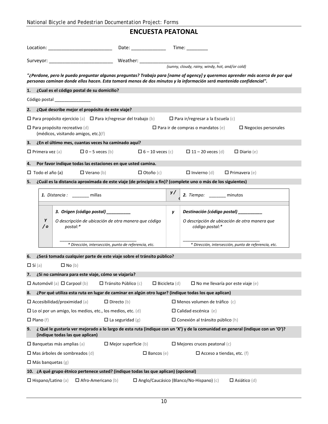## **ENCUESTA PEATONAL**

|                                                                                                           | Date: _______________                                     | Time: $\sqrt{ }$                                                                                                                                                                                                                                     |  |  |  |  |  |  |  |  |  |  |  |  |  |
|-----------------------------------------------------------------------------------------------------------|-----------------------------------------------------------|------------------------------------------------------------------------------------------------------------------------------------------------------------------------------------------------------------------------------------------------------|--|--|--|--|--|--|--|--|--|--|--|--|--|
|                                                                                                           |                                                           |                                                                                                                                                                                                                                                      |  |  |  |  |  |  |  |  |  |  |  |  |  |
|                                                                                                           |                                                           |                                                                                                                                                                                                                                                      |  |  |  |  |  |  |  |  |  |  |  |  |  |
|                                                                                                           |                                                           | "¿Perdone, pero le puedo preguntar algunas preguntas? Trabajo para [name of agency] y queremos aprender más acerca de por qué<br>personas caminan donde ellos hacen. Esta tomará menos de dos minutos y la información será mantenida confidencial". |  |  |  |  |  |  |  |  |  |  |  |  |  |
| 1. ¿Cual es el código postal de su domicilio?                                                             |                                                           |                                                                                                                                                                                                                                                      |  |  |  |  |  |  |  |  |  |  |  |  |  |
| Código postal __________                                                                                  |                                                           |                                                                                                                                                                                                                                                      |  |  |  |  |  |  |  |  |  |  |  |  |  |
| ¿Qué describe mejor el propósito de este viaje?<br>2.                                                     |                                                           |                                                                                                                                                                                                                                                      |  |  |  |  |  |  |  |  |  |  |  |  |  |
| $\Box$ Para propósito ejercicio (a) $\Box$ Para ir/regresar del trabajo (b)                               |                                                           | $\Box$ Para ir/regresar a la Escuela (c)                                                                                                                                                                                                             |  |  |  |  |  |  |  |  |  |  |  |  |  |
| $\Box$ Para propósito recreativo (d)<br>(médicos, visitando amigos, etc.)(f)                              |                                                           | $\Box$ Para ir de compras o mandatos (e)<br>$\square$ Negocios personales                                                                                                                                                                            |  |  |  |  |  |  |  |  |  |  |  |  |  |
| ¿En el último mes, cuantas veces ha caminado aquí?<br>3.                                                  |                                                           |                                                                                                                                                                                                                                                      |  |  |  |  |  |  |  |  |  |  |  |  |  |
| $\Box$ Primera vez (a) $\Box$ 0 – 5 veces (b)                                                             | $\Box$ 6 – 10 veces (c)                                   | $\Box$ 11 – 20 veces (d)<br>$\square$ Diario (e)                                                                                                                                                                                                     |  |  |  |  |  |  |  |  |  |  |  |  |  |
| Por favor indique todas las estaciones en que usted camina.<br>4.                                         |                                                           |                                                                                                                                                                                                                                                      |  |  |  |  |  |  |  |  |  |  |  |  |  |
| $\Box$ Todo el año (a)<br>$\Box$ Verano (b)                                                               | $\Box$ Otoño (c)                                          | $\Box$ Invierno (d)<br>$\Box$ Primavera (e)                                                                                                                                                                                                          |  |  |  |  |  |  |  |  |  |  |  |  |  |
| 5.                                                                                                        |                                                           | ¿Cuál es la distancia aproximada de este viaje (de principio a fin)? (complete uno o más de los siguientes)                                                                                                                                          |  |  |  |  |  |  |  |  |  |  |  |  |  |
|                                                                                                           |                                                           |                                                                                                                                                                                                                                                      |  |  |  |  |  |  |  |  |  |  |  |  |  |
|                                                                                                           | y/<br>2. Tiempo: _______ minutos<br>1. Distancia : millas |                                                                                                                                                                                                                                                      |  |  |  |  |  |  |  |  |  |  |  |  |  |
| 3. Origen (código postal) _________                                                                       |                                                           | Destinación (código postal) _________<br>y                                                                                                                                                                                                           |  |  |  |  |  |  |  |  |  |  |  |  |  |
| Y<br>O descripción de ubicación de otra manera que código<br>/ o<br>postal:*                              |                                                           | O descripción de ubicación de otra manera que<br>código postal:*                                                                                                                                                                                     |  |  |  |  |  |  |  |  |  |  |  |  |  |
|                                                                                                           |                                                           |                                                                                                                                                                                                                                                      |  |  |  |  |  |  |  |  |  |  |  |  |  |
| * Dirección, intersección, punto de referencia, etc.                                                      |                                                           | * Dirección, intersección, punto de referencia, etc.                                                                                                                                                                                                 |  |  |  |  |  |  |  |  |  |  |  |  |  |
| ¿Será tomada cualquier parte de este viaje sobre el tránsito público?<br>6.                               |                                                           |                                                                                                                                                                                                                                                      |  |  |  |  |  |  |  |  |  |  |  |  |  |
| $\Box$ Sí (a)<br>$\Box$ No (b)                                                                            |                                                           |                                                                                                                                                                                                                                                      |  |  |  |  |  |  |  |  |  |  |  |  |  |
| ¿Si no caminara para este viaje, cómo se viajaría?<br>7.                                                  |                                                           |                                                                                                                                                                                                                                                      |  |  |  |  |  |  |  |  |  |  |  |  |  |
| $\square$ Automóvil (a) $\square$ Carpool (b) $\square$ Tránsito Público (c) $\square$ Bicicleta (d)      |                                                           | $\square$ No me llevaría por este viaje (e)                                                                                                                                                                                                          |  |  |  |  |  |  |  |  |  |  |  |  |  |
| ¿Por qué utiliza esta ruta en lugar de caminar en algún otro lugar? (indique todas los que aplican)<br>8. |                                                           |                                                                                                                                                                                                                                                      |  |  |  |  |  |  |  |  |  |  |  |  |  |
| $\square$ Accesibilidad/proximidad (a)                                                                    | $\square$ Directo (b)                                     | $\Box$ Menos volumen de tráfico (c)                                                                                                                                                                                                                  |  |  |  |  |  |  |  |  |  |  |  |  |  |
| $\square$ Lo oí por un amigo, los medios, etc., los medios, etc. (d)                                      |                                                           | $\square$ Calidad escénica (e)                                                                                                                                                                                                                       |  |  |  |  |  |  |  |  |  |  |  |  |  |
| $\Box$ Plano (f)                                                                                          | $\Box$ La seguridad (g)                                   | $\square$ Conexión al tránsito público (h)                                                                                                                                                                                                           |  |  |  |  |  |  |  |  |  |  |  |  |  |
| 9.<br>(indique todas las que aplican)                                                                     |                                                           | ¿ Qué le gustaría ver mejorado a lo largo de esta ruta (indique con un 'X') y de la comunidad en general (indique con un 'O')?                                                                                                                       |  |  |  |  |  |  |  |  |  |  |  |  |  |
| $\square$ Banquetas más amplias (a)                                                                       | $\Box$ Mejor superficie (b)                               | $\Box$ Mejores cruces peatonal (c)                                                                                                                                                                                                                   |  |  |  |  |  |  |  |  |  |  |  |  |  |
| $\Box$ Mas árboles de sombreados (d)                                                                      | $\square$ Bancos (e)                                      | $\Box$ Acceso a tiendas, etc. (f)                                                                                                                                                                                                                    |  |  |  |  |  |  |  |  |  |  |  |  |  |
| $\Box$ Más banquetas (g)                                                                                  |                                                           |                                                                                                                                                                                                                                                      |  |  |  |  |  |  |  |  |  |  |  |  |  |
| 10. ¿A qué grupo étnico pertenece usted? (indique todas las que aplican) (opcional)                       |                                                           |                                                                                                                                                                                                                                                      |  |  |  |  |  |  |  |  |  |  |  |  |  |
| $\Box$ Afro-Americano (b)<br>$\Box$ Hispano/Latino (a)                                                    |                                                           | $\Box$ Anglo/Caucásico (Blanco/No-Hispano) (c)<br>$\Box$ Asiático (d)                                                                                                                                                                                |  |  |  |  |  |  |  |  |  |  |  |  |  |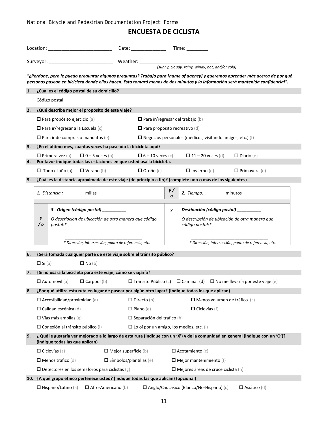## **ENCUESTA DE CICLISTA**

|    |                                                                                                                                                                                                                                                                  |                                                 |  | Time: $\_\_$                                                                            |                                                      |  |  |  |  |  |  |  |  |  |
|----|------------------------------------------------------------------------------------------------------------------------------------------------------------------------------------------------------------------------------------------------------------------|-------------------------------------------------|--|-----------------------------------------------------------------------------------------|------------------------------------------------------|--|--|--|--|--|--|--|--|--|
|    |                                                                                                                                                                                                                                                                  |                                                 |  |                                                                                         |                                                      |  |  |  |  |  |  |  |  |  |
|    |                                                                                                                                                                                                                                                                  |                                                 |  |                                                                                         |                                                      |  |  |  |  |  |  |  |  |  |
|    | "¿Perdone, pero le puedo preguntar algunas preguntas? Trabajo para [name of agency] y queremos aprender más acerca de por qué<br>personas pasean en bicicleta donde ellos hacen. Esta tomará menos de dos minutos y la información será mantenida confidencial". |                                                 |  |                                                                                         |                                                      |  |  |  |  |  |  |  |  |  |
| 1. | ¿Cual es el código postal de su domicilio?                                                                                                                                                                                                                       |                                                 |  |                                                                                         |                                                      |  |  |  |  |  |  |  |  |  |
|    | Código postal expression and the control of the control of the control of the control of the control of the control of the control of the control of the control of the control of the control of the control of the control o                                   |                                                 |  |                                                                                         |                                                      |  |  |  |  |  |  |  |  |  |
| 2. | ¿Qué describe mejor el propósito de este viaje?                                                                                                                                                                                                                  |                                                 |  |                                                                                         |                                                      |  |  |  |  |  |  |  |  |  |
|    | $\Box$ Para propósito ejercicio (a)                                                                                                                                                                                                                              | $\Box$ Para ir/regresar del trabajo (b)         |  |                                                                                         |                                                      |  |  |  |  |  |  |  |  |  |
|    | $\Box$ Para ir/regresar a la Escuela (c)                                                                                                                                                                                                                         | $\Box$ Para propósito recreativo (d)            |  |                                                                                         |                                                      |  |  |  |  |  |  |  |  |  |
|    | $\Box$ Para ir de compras o mandatos (e)                                                                                                                                                                                                                         |                                                 |  | $\Box$ Negocios personales (médicos, visitando amigos, etc.) (f)                        |                                                      |  |  |  |  |  |  |  |  |  |
| 3. | ¿En el último mes, cuantas veces ha paseado la bicicleta aquí?                                                                                                                                                                                                   |                                                 |  |                                                                                         |                                                      |  |  |  |  |  |  |  |  |  |
|    | $\Box$ Primera vez (a)<br>$\Box$ 0 – 5 veces (b)                                                                                                                                                                                                                 | $\Box$ 6 – 10 veces (c)                         |  | $\Box$ 11 – 20 veces (d)                                                                | $\Box$ Diario (e)                                    |  |  |  |  |  |  |  |  |  |
| 4. | Por favor indique todas las estaciones en que usted usa la bicicleta.<br>$\Box$ Verano (b)<br>$\Box$ Todo el año (a)                                                                                                                                             | $\Box$ Otoño (c)                                |  | $\Box$ Invierno (d)                                                                     | $\Box$ Primavera (e)                                 |  |  |  |  |  |  |  |  |  |
| 5. | ¿Cuál es la distancia aproximada de este viaje (de principio a fin)? (complete uno o más de los siguientes)                                                                                                                                                      |                                                 |  |                                                                                         |                                                      |  |  |  |  |  |  |  |  |  |
|    |                                                                                                                                                                                                                                                                  |                                                 |  |                                                                                         |                                                      |  |  |  |  |  |  |  |  |  |
|    | y/<br>1. Distancia : _______ millas<br>2. Tiempo: _______ minutos<br>$\boldsymbol{o}$                                                                                                                                                                            |                                                 |  |                                                                                         |                                                      |  |  |  |  |  |  |  |  |  |
|    | 3. Origen (código postal) _________<br>Destinación (código postal) _________<br>y                                                                                                                                                                                |                                                 |  |                                                                                         |                                                      |  |  |  |  |  |  |  |  |  |
|    | Y<br>O descripción de ubicación de otra manera que código                                                                                                                                                                                                        |                                                 |  | O descripción de ubicación de otra manera que                                           |                                                      |  |  |  |  |  |  |  |  |  |
|    | $\sqrt{o}$<br>postal:*                                                                                                                                                                                                                                           |                                                 |  | código postal:*                                                                         |                                                      |  |  |  |  |  |  |  |  |  |
|    |                                                                                                                                                                                                                                                                  |                                                 |  |                                                                                         |                                                      |  |  |  |  |  |  |  |  |  |
|    | * Dirección, intersección, punto de referencia, etc.                                                                                                                                                                                                             |                                                 |  |                                                                                         | * Dirección, intersección, punto de referencia, etc. |  |  |  |  |  |  |  |  |  |
| 6. | ¿Será tomada cualquier parte de este viaje sobre el tránsito público?                                                                                                                                                                                            |                                                 |  |                                                                                         |                                                      |  |  |  |  |  |  |  |  |  |
|    | $\Box$ Sí (a)<br>$\Box$ No (b)                                                                                                                                                                                                                                   |                                                 |  |                                                                                         |                                                      |  |  |  |  |  |  |  |  |  |
| 7. | ¿Si no usara la bicicleta para este viaje, cómo se viajaría?                                                                                                                                                                                                     |                                                 |  |                                                                                         |                                                      |  |  |  |  |  |  |  |  |  |
|    | $\square$ Automóvil (a)<br>$\Box$ Carpool (b)                                                                                                                                                                                                                    |                                                 |  | $\Box$ Tránsito Público (c) $\Box$ Caminar (d) $\Box$ No me llevaría por este viaje (e) |                                                      |  |  |  |  |  |  |  |  |  |
| 8. | ¿Por qué utiliza esta ruta en lugar de pasear por algún otro lugar? (indique todas los que aplican)                                                                                                                                                              |                                                 |  |                                                                                         |                                                      |  |  |  |  |  |  |  |  |  |
|    | $\Box$ Accesibilidad/proximidad (a)                                                                                                                                                                                                                              | $\square$ Directo (b)                           |  | $\Box$ Menos volumen de tráfico (c)                                                     |                                                      |  |  |  |  |  |  |  |  |  |
|    | $\Box$ Calidad escénica (d)                                                                                                                                                                                                                                      | $\Box$ Plano (e)                                |  | $\Box$ Ciclovías (f)                                                                    |                                                      |  |  |  |  |  |  |  |  |  |
|    | $\Box$ Vías más amplias (g)                                                                                                                                                                                                                                      | $\square$ Separación del tráfico (h)            |  |                                                                                         |                                                      |  |  |  |  |  |  |  |  |  |
|    | $\square$ Conexión al tránsito público (i)                                                                                                                                                                                                                       | $\Box$ Lo oí por un amigo, los medios, etc. (j) |  |                                                                                         |                                                      |  |  |  |  |  |  |  |  |  |
| 9. | ¿ Qué le gustaría ver mejorado a lo largo de esta ruta (indique con un 'X') y de la comunidad en general (indique con un 'O')?<br>(indique todas las que aplican)                                                                                                |                                                 |  |                                                                                         |                                                      |  |  |  |  |  |  |  |  |  |
|    | $\Box$ Ciclovías (a)                                                                                                                                                                                                                                             | $\Box$ Mejor superficie (b)                     |  | $\Box$ Acotamiento (c)                                                                  |                                                      |  |  |  |  |  |  |  |  |  |
|    | $\Box$ Menos trafico (d)                                                                                                                                                                                                                                         | $\square$ Símbolos/plantillas (e)               |  | $\Box$ Mejor mantenimiento (f)                                                          |                                                      |  |  |  |  |  |  |  |  |  |
|    | $\square$ Detectores en los semáforos para ciclistas (g)                                                                                                                                                                                                         | $\Box$ Mejores áreas de cruce ciclista (h)      |  |                                                                                         |                                                      |  |  |  |  |  |  |  |  |  |
|    | 10. ¿A qué grupo étnico pertenece usted? (indique todas las que aplican) (opcional)                                                                                                                                                                              |                                                 |  |                                                                                         |                                                      |  |  |  |  |  |  |  |  |  |
|    | $\Box$ Hispano/Latino (a)<br>$\Box$ Afro-Americano (b)                                                                                                                                                                                                           |                                                 |  | $\Box$ Anglo/Caucásico (Blanco/No-Hispano) (c)                                          | $\Box$ Asiático (d)                                  |  |  |  |  |  |  |  |  |  |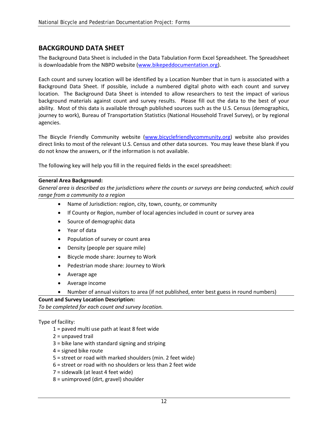### **BACKGROUND DATA SHEET**

The Background Data Sheet is included in the Data Tabulation Form Excel Spreadsheet. The Spreadsheet is downloadable from the NBPD website (www.bikepeddocumentation.org).

Each count and survey location will be identified by a Location Number that in turn is associated with a Background Data Sheet. If possible, include a numbered digital photo with each count and survey location. The Background Data Sheet is intended to allow researchers to test the impact of various background materials against count and survey results. Please fill out the data to the best of your ability. Most of this data is available through published sources such as the U.S. Census (demographics, journey to work), Bureau of Transportation Statistics (National Household Travel Survey), or by regional agencies.

The Bicycle Friendly Community website (www.bicyclefriendlycommunity.org) website also provides direct links to most of the relevant U.S. Census and other data sources. You may leave these blank if you do not know the answers, or if the information is not available.

The following key will help you fill in the required fields in the excel spreadsheet:

#### **General Area Background:**

General area is described as the jurisdictions where the counts or surveys are being conducted, which could *range from a community to a region* 

- Name of Jurisdiction: region, city, town, county, or community
- If County or Region, number of local agencies included in count or survey area
- Source of demographic data
- Year of data
- Population of survey or count area
- Density (people per square mile)
- Bicycle mode share: Journey to Work
- Pedestrian mode share: Journey to Work
- Average age
- Average income
- Number of annual visitors to area (if not published, enter best guess in round numbers)

#### **Count and Survey Location Description:**

*To be completed for each count and survey location.*

#### Type of facility:

- 1 = paved multi use path at least 8 feet wide
- 2 = unpaved trail
- 3 = bike lane with standard signing and striping
- 4 = signed bike route
- 5 = street or road with marked shoulders (min. 2 feet wide)
- 6 = street or road with no shoulders or less than 2 feet wide
- 7 = sidewalk (at least 4 feet wide)
- 8 = unimproved (dirt, gravel) shoulder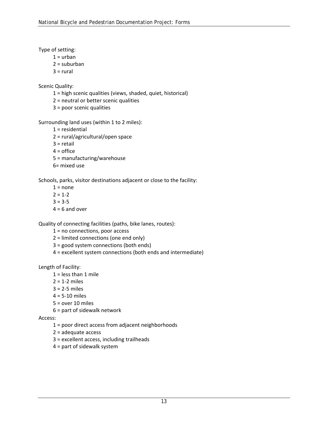Type of setting:

- $1 =$ urban
- $2 =$ suburban
- $3 = \text{rural}$

Scenic Quality:

- 1 = high scenic qualities (views, shaded, quiet, historical)
- 2 = neutral or better scenic qualities
- 3 = poor scenic qualities

Surrounding land uses (within 1 to 2 miles):

- 1 = residential
- 2 = rural/agricultural/open space
- 3 = retail
- $4 =$  office
- 5 = manufacturing/warehouse
- 6= mixed use

Schools, parks, visitor destinations adjacent or close to the facility:

- $1 = none$
- $2 = 1-2$
- $3 = 3-5$
- $4 = 6$  and over

Quality of connecting facilities (paths, bike lanes, routes):

- 1 = no connections, poor access
- 2 = limited connections (one end only)
- 3 = good system connections (both ends)
- 4 = excellent system connections (both ends and intermediate)

Length of Facility:

- $1 =$  less than 1 mile
- $2 = 1 2$  miles
- 3 = 2‐5 miles
- 4 = 5‐10 miles
- 5 = over 10 miles
- 6 = part of sidewalk network

#### Access:

- 1 = poor direct access from adjacent neighborhoods
- 2 = adequate access
- 3 = excellent access, including trailheads
- 4 = part of sidewalk system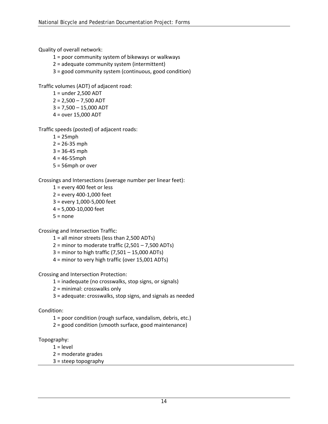Quality of overall network:

- = poor community system of bikeways or walkways
- = adequate community system (intermittent)
- = good community system (continuous, good condition)

Traffic volumes (ADT) of adjacent road:

= under 2,500 ADT

 $2 = 2,500 - 7,500$  ADT

= 7,500 – 15,000 ADT

= over 15,000 ADT

Traffic speeds (posted) of adjacent roads:

- $1 = 25$ mph
- = 26‐35 mph
- = 36‐45 mph
- $4 = 46 55$ mph
- = 56mph or over

Crossings and Intersections (average number per linear feet):

- = every 400 feet or less
- = every 400‐1,000 feet
- = every 1,000‐5,000 feet
- = 5,000‐10,000 feet
- $5 = none$

Crossing and Intersection Traffic:

- = all minor streets (less than 2,500 ADTs)
- $2 =$  minor to moderate traffic  $(2,501 7,500$  ADTs)
- = minor to high traffic (7,501 15,000 ADTs)
- = minor to very high traffic (over 15,001 ADTs)

Crossing and Intersection Protection:

- = inadequate (no crosswalks, stop signs, or signals)
- = minimal: crosswalks only
- = adequate: crosswalks, stop signs, and signals as needed

Condition:

- = poor condition (rough surface, vandalism, debris, etc.)
- = good condition (smooth surface, good maintenance)

Topography:

- $1 = level$
- = moderate grades
- = steep topography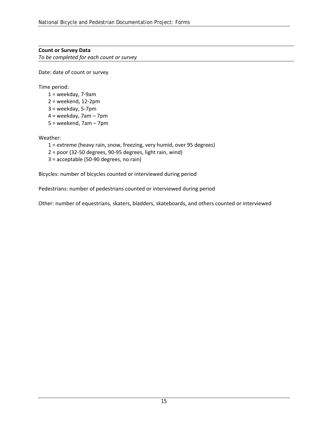#### **Count or Survey Data**

*To be completed for each count or survey*

Date: date of count or survey

Time period:

- 1 = weekday, 7‐9am
- 2 = weekend, 12‐2pm
- 3 = weekday, 5‐7pm
- 4 = weekday, 7am 7pm
- 5 = weekend, 7am 7pm

Weather:

- 1 = extreme (heavy rain, snow, freezing, very humid, over 95 degrees)
- 2 = poor (32‐50 degrees, 90‐95 degrees, light rain, wind)
- 3 = acceptable (50‐90 degrees, no rain)

Bicycles: number of bicycles counted or interviewed during period

Pedestrians: number of pedestrians counted or interviewed during period

Other: number of equestrians, skaters, bladders, skateboards, and others counted or interviewed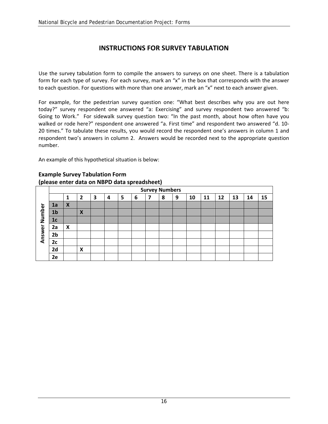## **INSTRUCTIONS FOR SURVEY TABULATION**

Use the survey tabulation form to compile the answers to surveys on one sheet. There is a tabulation form for each type of survey. For each survey, mark an "x" in the box that corresponds with the answer to each question. For questions with more than one answer, mark an "x" next to each answer given.

For example, for the pedestrian survey question one: "What best describes why you are out here today?" survey respondent one answered "a: Exercising" and survey respondent two answered "b: Going to Work." For sidewalk survey question two: "In the past month, about how often have you walked or rode here?" respondent one answered "a. First time" and respondent two answered "d. 10-20 times." To tabulate these results, you would record the respondent one's answers in column 1 and respondent two's answers in column 2. Answers would be recorded next to the appropriate question number.

An example of this hypothetical situation is below:

|        |                | <b>Survey Numbers</b> |                  |   |   |   |   |   |   |   |    |    |    |    |    |    |
|--------|----------------|-----------------------|------------------|---|---|---|---|---|---|---|----|----|----|----|----|----|
|        |                |                       | 2                | 3 | 4 | 5 | 6 | 7 | 8 | 9 | 10 | 11 | 12 | 13 | 14 | 15 |
|        | 1a             | X                     |                  |   |   |   |   |   |   |   |    |    |    |    |    |    |
| Number | 1 <sub>b</sub> |                       | $\boldsymbol{X}$ |   |   |   |   |   |   |   |    |    |    |    |    |    |
|        | 1 <sub>c</sub> |                       |                  |   |   |   |   |   |   |   |    |    |    |    |    |    |
|        | 2a             | X                     |                  |   |   |   |   |   |   |   |    |    |    |    |    |    |
| Answer | 2 <sub>b</sub> |                       |                  |   |   |   |   |   |   |   |    |    |    |    |    |    |
|        | 2c             |                       |                  |   |   |   |   |   |   |   |    |    |    |    |    |    |
|        | 2d             |                       | X                |   |   |   |   |   |   |   |    |    |    |    |    |    |
|        | 2e             |                       |                  |   |   |   |   |   |   |   |    |    |    |    |    |    |

#### **Example Survey Tabulation Form (please enter data on NBPD data spreadsheet)**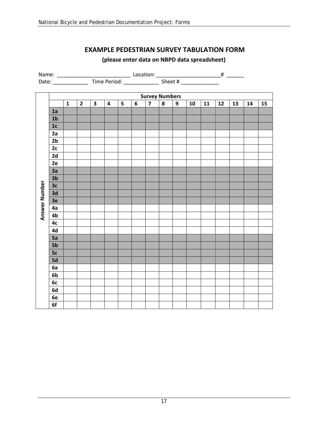## **EXAMPLE PEDESTRIAN SURVEY TABULATION FORM**

#### Name: \_\_\_\_\_\_\_\_\_\_\_\_\_\_\_\_\_\_\_\_\_\_\_\_\_ Location: \_\_\_\_\_\_\_\_\_\_\_\_\_\_\_\_\_\_\_\_\_\_# \_\_\_\_\_\_ Date: \_\_\_\_\_\_\_\_\_\_\_\_ Time Period: \_\_\_\_\_\_\_\_\_\_\_\_ Sheet # \_\_\_\_\_\_\_\_\_\_\_\_\_ **Survey Numbers 1 2 3 4 5 6 7 8 9 10 11 12 13 14 15 1a 1b 1c 2a**  2b **| | | | | | | | | | |** | | | | | | | **2c 2d 2e 3a 3b** Answer Number **Answer Number 3c 3d 3e 4a 4b 4c 4d 5a 5b 5c 5d 6a 6b 6c 6d 6e 6f**

#### **(please enter data on NBPD data spreadsheet)**